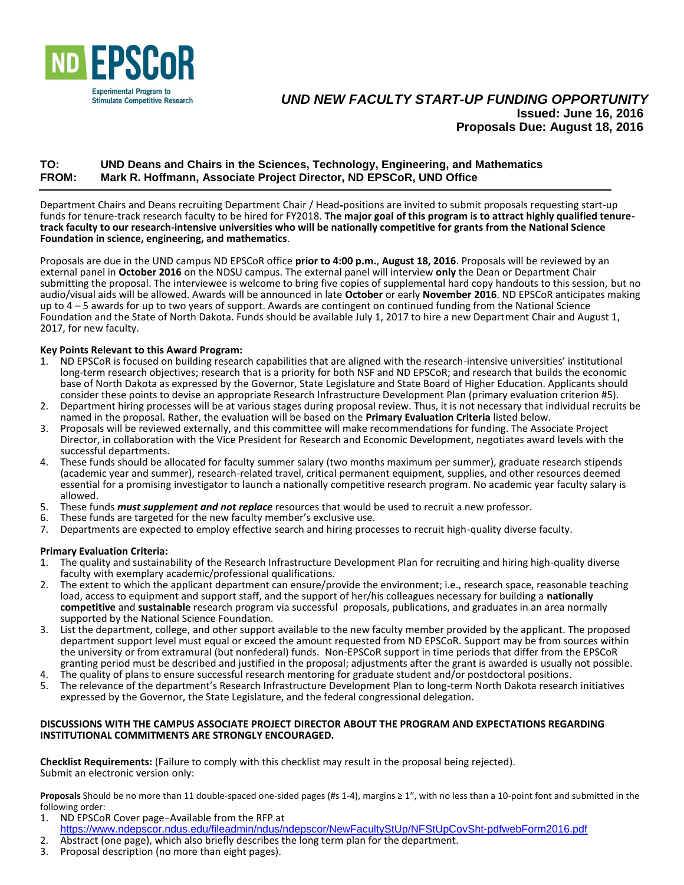

# *UND NEW FACULTY START-UP FUNDING OPPORTUNITY* **Issued: June 16, 2016** **Proposals Due: August 18, 2016**

## **TO: UND Deans and Chairs in the Sciences, Technology, Engineering, and Mathematics FROM: Mark R. Hoffmann, Associate Project Director, ND EPSCoR, UND Office**

Department Chairs and Deans recruiting Department Chair / Head-positions are invited to submit proposals requesting start-up funds for tenure-track research faculty to be hired for FY2018. **The major goal of this program is to attract highly qualified tenuretrack faculty to our research-intensive universities who will be nationally competitive for grants from the National Science Foundation in science, engineering, and mathematics**.

Proposals are due in the UND campus ND EPSCoR office **prior to 4:00 p.m.**, **August 18, 2016**. Proposals will be reviewed by an external panel in **October 2016** on the NDSU campus. The external panel will interview **only** the Dean or Department Chair submitting the proposal. The interviewee is welcome to bring five copies of supplemental hard copy handouts to this session, but no audio/visual aids will be allowed. Awards will be announced in late **October** or early **November 2016**. ND EPSCoR anticipates making up to 4 – 5 awards for up to two years of support. Awards are contingent on continued funding from the National Science Foundation and the State of North Dakota. Funds should be available July 1, 2017 to hire a new Department Chair and August 1, 2017, for new faculty.

### **Key Points Relevant to this Award Program:**

- 1. ND EPSCoR is focused on building research capabilities that are aligned with the research-intensive universities' institutional long-term research objectives; research that is a priority for both NSF and ND EPSCoR; and research that builds the economic base of North Dakota as expressed by the Governor, State Legislature and State Board of Higher Education. Applicants should consider these points to devise an appropriate Research Infrastructure Development Plan (primary evaluation criterion #5).
- 2. Department hiring processes will be at various stages during proposal review. Thus, it is not necessary that individual recruits be named in the proposal. Rather, the evaluation will be based on the **Primary Evaluation Criteria** listed below.
- 3. Proposals will be reviewed externally, and this committee will make recommendations for funding. The Associate Project Director, in collaboration with the Vice President for Research and Economic Development, negotiates award levels with the successful departments.
- 4. These funds should be allocated for faculty summer salary (two months maximum per summer), graduate research stipends (academic year and summer), research-related travel, critical permanent equipment, supplies, and other resources deemed essential for a promising investigator to launch a nationally competitive research program. No academic year faculty salary is allowed.
- 5. These funds *must supplement and not replace* resources that would be used to recruit a new professor.
- 6. These funds are targeted for the new faculty member's exclusive use.
- 7. Departments are expected to employ effective search and hiring processes to recruit high-quality diverse faculty.

#### **Primary Evaluation Criteria:**

- 1. The quality and sustainability of the Research Infrastructure Development Plan for recruiting and hiring high-quality diverse faculty with exemplary academic/professional qualifications.
- 2. The extent to which the applicant department can ensure/provide the environment; i.e., research space, reasonable teaching load, access to equipment and support staff, and the support of her/his colleagues necessary for building a **nationally competitive** and **sustainable** research program via successful proposals, publications, and graduates in an area normally supported by the National Science Foundation.
- 3. List the department, college, and other support available to the new faculty member provided by the applicant. The proposed department support level must equal or exceed the amount requested from ND EPSCoR. Support may be from sources within the university or from extramural (but nonfederal) funds. Non-EPSCoR support in time periods that differ from the EPSCoR granting period must be described and justified in the proposal; adjustments after the grant is awarded is usually not possible.
- 4. The quality of plans to ensure successful research mentoring for graduate student and/or postdoctoral positions.<br>5. The relevance of the department's Research Infrastructure Development Plan to long-term North Dakota re
- 5. The relevance of the department's Research Infrastructure Development Plan to long-term North Dakota research initiatives expressed by the Governor, the State Legislature, and the federal congressional delegation.

#### **DISCUSSIONS WITH THE CAMPUS ASSOCIATE PROJECT DIRECTOR ABOUT THE PROGRAM AND EXPECTATIONS REGARDING INSTITUTIONAL COMMITMENTS ARE STRONGLY ENCOURAGED.**

**Checklist Requirements:** (Failure to comply with this checklist may result in the proposal being rejected). Submit an electronic version only:

**Proposals** Should be no more than 11 double-spaced one-sided pages (#s 1-4), margins ≥ 1", with no less than a 10-point font and submitted in the following order:<br>1 ND FPSCol

- 1. ND EPSCoR Cover page−Available from the RFP at
- <https://www.ndepscor.ndus.edu/fileadmin/ndus/ndepscor/NewFacultyStUp/NFStUpCovSht-pdfwebForm2016.pdf> 2. Abstract (one page), which also briefly describes the long term plan for the department.
- 3. Proposal description (no more than eight pages).